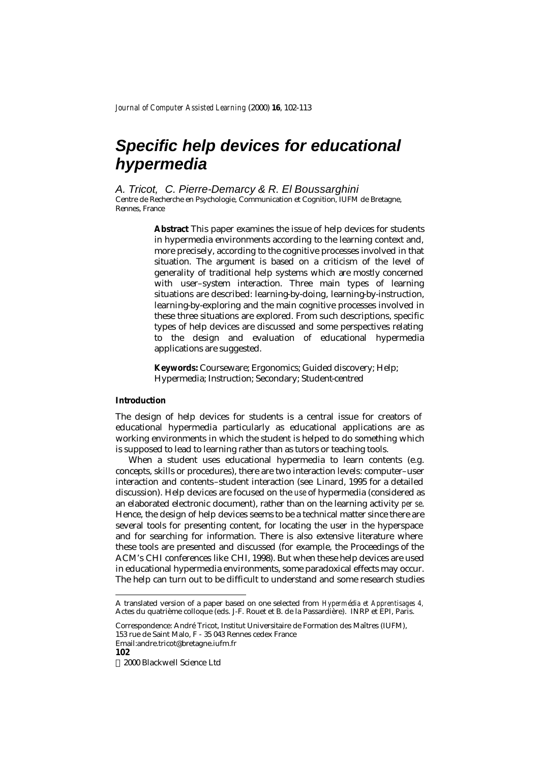*Journal of Computer Assisted Learning* (2000) **16**, 102-113

# *Specific help devices for educational hypermedia*

*A. Tricot, C. Pierre-Demarcy & R. El Boussarghini*

Centre de Recherche en Psychologie, Communication et Cognition, IUFM de Bretagne, Rennes, France

> **Abstract** This paper examines the issue of help devices for students in hypermedia environments according to the learning context and, more precisely, according to the cognitive processes involved in that situation. The argument is based on a criticism of the level of generality of traditional help systems which are mostly concerned with user–system interaction. Three main types of learning situations are described: learning-by-doing, learning-by-instruction, learning-by-exploring and the main cognitive processes involved in these three situations are explored. From such descriptions, specific types of help devices are discussed and some perspectives relating to the design and evaluation of educational hypermedia applications are suggested.

**Keywords:** Courseware; Ergonomics; Guided discovery; Help; Hypermedia; Instruction; Secondary; Student-centred

# **Introduction**

 $\overline{a}$ 

The design of help devices for students is a central issue for creators of educational hypermedia particularly as educational applications are as working environments in which the student is helped to do something which is supposed to lead to learning rather than as tutors or teaching tools.

When a student uses educational hypermedia to learn contents (e.g. concepts, skills or procedures), there are two interaction levels: computer–user interaction and contents–student interaction (see Linard, 1995 for a detailed discussion). Help devices are focused on the *use* of hypermedia (considered as an elaborated electronic document), rather than on the learning activity *per se*. Hence, the design of help devices seems to be a technical matter since there are several tools for presenting content, for locating the user in the hyperspace and for searching for information. There is also extensive literature where these tools are presented and discussed (for example, the Proceedings of the ACM's CHI conferences like CHI, 1998). But when these help devices are used in educational hypermedia environments, some paradoxical effects may occur. The help can turn out to be difficult to understand and some research studies

A translated version of a paper based on one selected from *Hyperm*é*dia et Apprentisages 4,*  Actes du quatrième colloque (eds. J-F. Rouet et B. de la Passardière). INRP et EPI, Paris.

**<sup>102</sup>** Correspondence: André Tricot, Institut Universitaire de Formation des Maîtres (IUFM), 153 rue de Saint Malo, F - 35 043 Rennes cedex France Email:andre.tricot@bretagne.iufm.fr

2000 Blackwell Science Ltd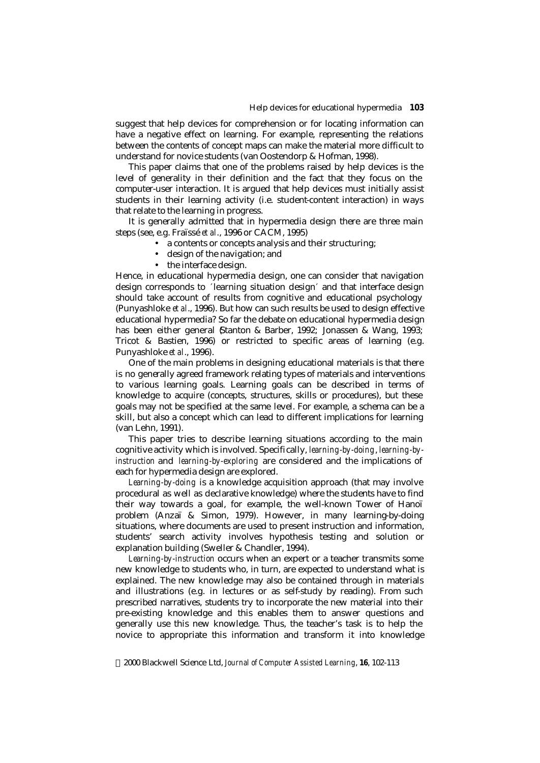suggest that help devices for comprehension or for locating information can have a negative effect on learning. For example, representing the relations between the contents of concept maps can make the material more difficult to understand for novice students (van Oostendorp & Hofman, 1998).

This paper claims that one of the problems raised by help devices is the level of generality in their definition and the fact that they focus on the computer-user interaction. It is argued that help devices must initially assist students in their learning activity (i.e. student-content interaction) in ways that relate to the learning in progress.

It is generally admitted that in hypermedia design there are three main steps (see, e.g. Fraïssé *et al*., 1996 or CACM, 1995)

- a contents or concepts analysis and their structuring;
- design of the navigation; and
- the interface design.

Hence, in educational hypermedia design, one can consider that navigation design corresponds to ′learning situation design′ and that interface design should take account of results from cognitive and educational psychology (Punyashloke *et al*., 1996). But how can such results be used to design effective educational hypermedia? So far the debate on educational hypermedia design has been either general 6tanton & Barber, 1992; Jonassen & Wang, 1993; Tricot & Bastien, 1996) or restricted to specific areas of learning (e.g. Punyashloke *et al*., 1996).

One of the main problems in designing educational materials is that there is no generally agreed framework relating types of materials and interventions to various learning goals. Learning goals can be described in terms of knowledge to acquire (concepts, structures, skills or procedures), but these goals may not be specified at the same level. For example, a schema can be a skill, but also a concept which can lead to different implications for learning (van Lehn, 1991).

This paper tries to describe learning situations according to the main cognitive activity which is involved. Specifically, *learning-by-doing*, *learning-byinstruction* and *learning-by-exploring* are considered and the implications of each for hypermedia design are explored.

*Learning-by-doing* is a knowledge acquisition approach (that may involve procedural as well as declarative knowledge) where the students have to find their way towards a goal, for example, the well-known Tower of Hanoï problem (Anzaï & Simon, 1979). However, in many learning-by-doing situations, where documents are used to present instruction and information, students' search activity involves hypothesis testing and solution or explanation building (Sweller & Chandler, 1994).

*Learning-by-instruction* occurs when an expert or a teacher transmits some new knowledge to students who, in turn, are expected to understand what is explained. The new knowledge may also be contained through in materials and illustrations (e.g. in lectures or as self-study by reading). From such prescribed narratives, students try to incorporate the new material into their pre-existing knowledge and this enables them to answer questions and generally use this new knowledge. Thus, the teacher's task is to help the novice to appropriate this information and transform it into knowledge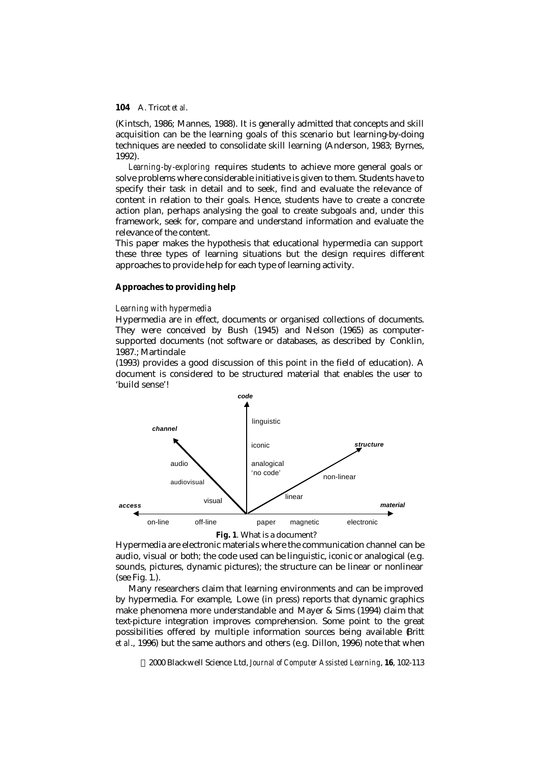(Kintsch, 1986; Mannes, 1988). It is generally admitted that concepts and skill acquisition can be the learning goals of this scenario but learning-by-doing techniques are needed to consolidate skill learning (Anderson, 1983; Byrnes, 1992).

*Learning-by-exploring* requires students to achieve more general goals or solve problems where considerable initiative is given to them. Students have to specify their task in detail and to seek, find and evaluate the relevance of content in relation to their goals. Hence, students have to create a concrete action plan, perhaps analysing the goal to create subgoals and, under this framework, seek for, compare and understand information and evaluate the relevance of the content.

This paper makes the hypothesis that educational hypermedia can support these three types of learning situations but the design requires different approaches to provide help for each type of learning activity.

#### **Approaches to providing help**

#### *Learning with hypermedia*

Hypermedia are in effect, documents or organised collections of documents. They were conceived by Bush (1945) and Nelson (1965) as computersupported documents (not software or databases, as described by Conklin, 1987.; Martindale

(1993) provides a good discussion of this point in the field of education). A document is considered to be structured material that enables the user to 'build sense'!





Hypermedia are electronic materials where the communication channel can be audio, visual or both; the code used can be linguistic, iconic or analogical (e.g. sounds, pictures, dynamic pictures); the structure can be linear or nonlinear (see Fig. 1.).

Many researchers claim that learning environments and can be improved by hypermedia. For example, Lowe (in press) reports that dynamic graphics make phenomena more understandable and Mayer & Sims (1994) claim that text-picture integration improves comprehension. Some point to the great possibilities offered by multiple information sources being available Britt *et al*., 1996) but the same authors and others (e.g. Dillon, 1996) note that when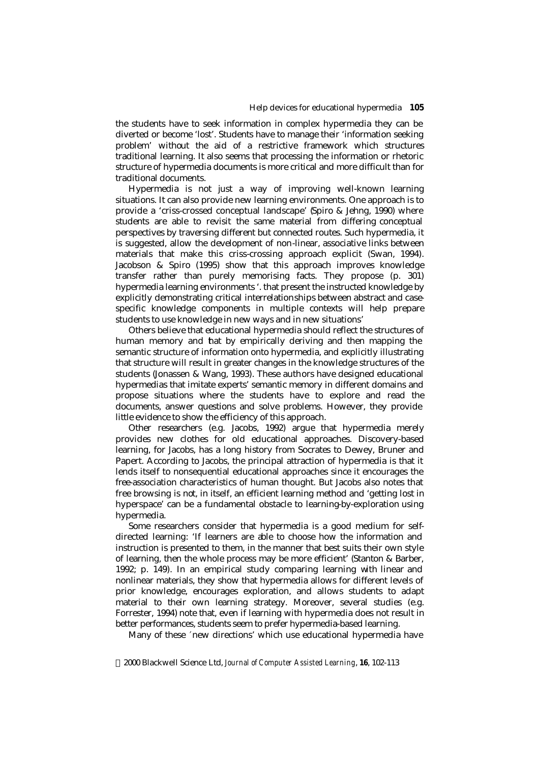the students have to seek information in complex hypermedia they can be diverted or become 'lost'. Students have to manage their 'information seeking problem' without the aid of a restrictive framework which structures traditional learning. It also seems that processing the information or rhetoric structure of hypermedia documents is more critical and more difficult than for traditional documents.

Hypermedia is not just a way of improving well-known learning situations. It can also provide new learning environments. One approach is to provide a 'criss-crossed conceptual landscape' (Spiro & Jehng, 1990) where students are able to revisit the same material from differing conceptual perspectives by traversing different but connected routes. Such hypermedia, it is suggested, allow the development of non-linear, associative links between materials that make this criss-crossing approach explicit (Swan, 1994). Jacobson & Spiro (1995) show that this approach improves knowledge transfer rather than purely memorising facts. They propose (p. 301) hypermedia learning environments '. that present the instructed knowledge by explicitly demonstrating critical interrelationships between abstract and casespecific knowledge components in multiple contexts will help prepare students to use knowledge in new ways and in new situations'

Others believe that educational hypermedia should reflect the structures of human memory and that by empirically deriving and then mapping the semantic structure of information onto hypermedia, and explicitly illustrating that structure will result in greater changes in the knowledge structures of the students (Jonassen & Wang, 1993). These authors have designed educational hypermedias that imitate experts' semantic memory in different domains and propose situations where the students have to explore and read the documents, answer questions and solve problems. However, they provide little evidence to show the efficiency of this approach.

Other researchers (e.g. Jacobs, 1992) argue that hypermedia merely provides new clothes for old educational approaches. Discovery-based learning, for Jacobs, has a long history from Socrates to Dewey, Bruner and Papert. According to Jacobs, the principal attraction of hypermedia is that it lends itself to nonsequential educational approaches since it encourages the free-association characteristics of human thought. But Jacobs also notes that free browsing is not, in itself, an efficient learning method and 'getting lost in hyperspace' can be a fundamental obstacle to learning-by-exploration using hypermedia.

Some researchers consider that hypermedia is a good medium for selfdirected learning: 'If learners are able to choose how the information and instruction is presented to them, in the manner that best suits their own style of learning, then the whole process may be more efficient' (Stanton & Barber, 1992; p. 149). In an empirical study comparing learning with linear and nonlinear materials, they show that hypermedia allows for different levels of prior knowledge, encourages exploration, and allows students to adapt material to their own learning strategy. Moreover, several studies (e.g. Forrester, 1994) note that, even if learning with hypermedia does not result in better performances, students seem to prefer hypermedia-based learning.

Many of these ′new directions' which use educational hypermedia have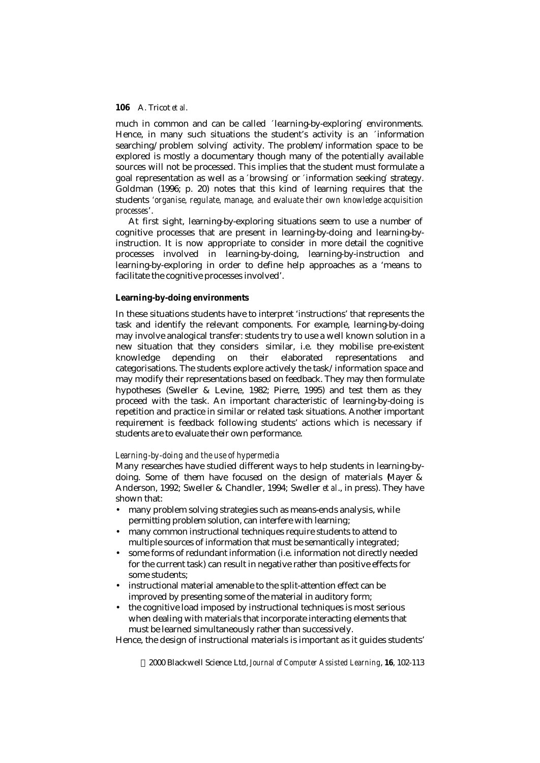much in common and can be called ′learning-by-exploring′ environments. Hence, in many such situations the student's activity is an ′information searching/problem solving′ activity. The problem/information space to be explored is mostly a documentary though many of the potentially available sources will not be processed. This implies that the student must formulate a goal representation as well as a ′browsing′ or ′information seeking′ strategy. Goldman (1996; p. 20) notes that this kind of learning requires that the students *'organise, regulate, manage, and evaluate their own knowledge acquisition processes*'.

At first sight, learning-by-exploring situations seem to use a number of cognitive processes that are present in learning-by-doing and learning-byinstruction. It is now appropriate to consider in more detail the cognitive processes involved in learning-by-doing, learning-by-instruction and learning-by-exploring in order to define help approaches as a 'means to facilitate the cognitive processes involved'.

# **Learning-by-doing environments**

In these situations students have to interpret 'instructions' that represents the task and identify the relevant components. For example, learning-by-doing may involve analogical transfer: students try to use a well known solution in a new situation that they considers similar, i.e. they mobilise pre-existent knowledge depending on their elaborated representations and categorisations. The students explore actively the task/information space and may modify their representations based on feedback. They may then formulate hypotheses (Sweller & Levine, 1982; Pierre, 1995) and test them as they proceed with the task. An important characteristic of learning-by-doing is repetition and practice in similar or related task situations. Another important requirement is feedback following students' actions which is necessary if students are to evaluate their own performance.

# *Learning-by-doing and the use of hypermedia*

Many researches have studied different ways to help students in learning-bydoing. Some of them have focused on the design of materials (Mayer & Anderson, 1992; Sweller & Chandler, 1994; Sweller *et al*., in press). They have shown that:

- many problem solving strategies such as means-ends analysis, while permitting problem solution, can interfere with learning;
- many common instructional techniques require students to attend to multiple sources of information that must be semantically integrated;
- some forms of redundant information (i.e. information not directly needed for the current task) can result in negative rather than positive effects for some students;
- instructional material amenable to the split-attention effect can be improved by presenting some of the material in auditory form;
- the cognitive load imposed by instructional techniques is most serious when dealing with materials that incorporate interacting elements that must be learned simultaneously rather than successively.

Hence, the design of instructional materials is important as it guides students'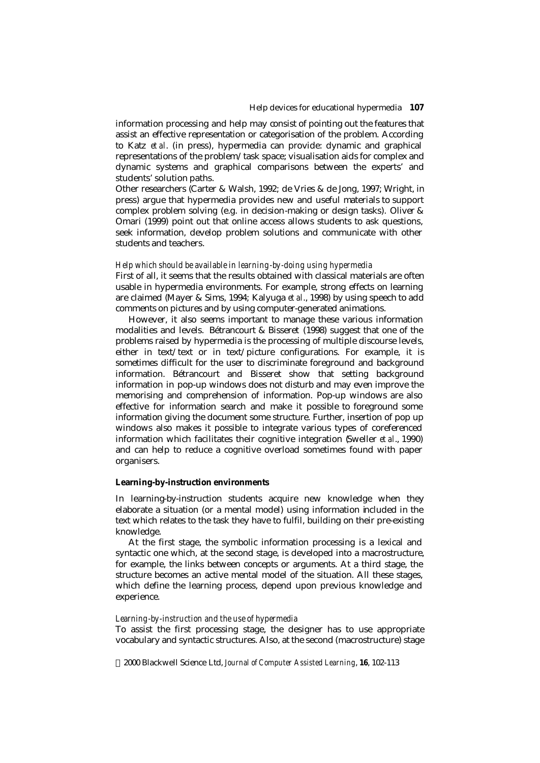information processing and help may consist of pointing out the features that assist an effective representation or categorisation of the problem. According to Katz *et al*. (in press), hypermedia can provide: dynamic and graphical representations of the problem/task space; visualisation aids for complex and dynamic systems and graphical comparisons between the experts' and students' solution paths.

Other researchers (Carter & Walsh, 1992; de Vries & de Jong, 1997; Wright, in press) argue that hypermedia provides new and useful materials to support complex problem solving (e.g. in decision-making or design tasks). Oliver & Omari (1999) point out that online access allows students to ask questions, seek information, develop problem solutions and communicate with other students and teachers.

## *Help which should be available in learning-by-doing using hypermedia*

First of all, it seems that the results obtained with classical materials are often usable in hypermedia environments. For example, strong effects on learning are claimed (Mayer & Sims, 1994; Kalyuga *et al*., 1998) by using speech to add comments on pictures and by using computer-generated animations.

However, it also seems important to manage these various information modalities and levels. Bétrancourt & Bisseret (1998) suggest that one of the problems raised by hypermedia is the processing of multiple discourse levels, either in text/text or in text/picture configurations. For example, it is sometimes difficult for the user to discriminate foreground and background information. Bétrancourt and Bisseret show that setting background information in pop-up windows does not disturb and may even improve the memorising and comprehension of information. Pop-up windows are also effective for information search and make it possible to foreground some information giving the document some structure. Further, insertion of pop up windows also makes it possible to integrate various types of coreferenced information which facilitates their cognitive integration (Sweller *et al*., 1990) and can help to reduce a cognitive overload sometimes found with paper organisers.

#### **Learning-by-instruction environments**

In learning-by-instruction students acquire new knowledge when they elaborate a situation (or a mental model) using information included in the text which relates to the task they have to fulfil, building on their pre-existing knowledge.

At the first stage, the symbolic information processing is a lexical and syntactic one which, at the second stage, is developed into a macrostructure, for example, the links between concepts or arguments. At a third stage, the structure becomes an active mental model of the situation. All these stages, which define the learning process, depend upon previous knowledge and experience.

# *Learning-by-instruction and the use of hypermedia*

To assist the first processing stage, the designer has to use appropriate vocabulary and syntactic structures. Also, at the second (macrostructure) stage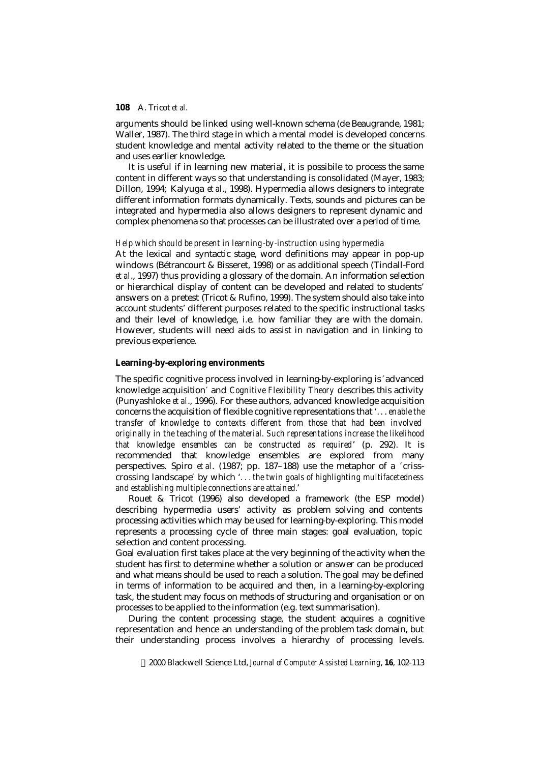arguments should be linked using well-known schema (de Beaugrande, 1981; Waller, 1987). The third stage in which a mental model is developed concerns student knowledge and mental activity related to the theme or the situation and uses earlier knowledge.

It is useful if in learning new material, it is possibile to process the same content in different ways so that understanding is consolidated (Mayer, 1983; Dillon, 1994; Kalyuga *et al*., 1998). Hypermedia allows designers to integrate different information formats dynamically. Texts, sounds and pictures can be integrated and hypermedia also allows designers to represent dynamic and complex phenomena so that processes can be illustrated over a period of time.

#### *Help which should be present in learning-by-instruction using hypermedia*

At the lexical and syntactic stage, word definitions may appear in pop-up windows (Bétrancourt & Bisseret, 1998) or as additional speech (Tindall-Ford *et al*., 1997) thus providing a glossary of the domain. An information selection or hierarchical display of content can be developed and related to students' answers on a pretest (Tricot & Rufino, 1999). The system should also take into account students' different purposes related to the specific instructional tasks and their level of knowledge, i.e. how familiar they are with the domain. However, students will need aids to assist in navigation and in linking to previous experience.

# **Learning-by-exploring environments**

The specific cognitive process involved in learning-by-exploring is ′advanced knowledge acquisition′ and *Cognitive Flexibility Theory* describes this activity (Punyashloke *et al*., 1996). For these authors, advanced knowledge acquisition concerns the acquisition of flexible cognitive representations that '. . . *enable the transfer of knowledge to contexts different from those that had been involved originally in the teaching of the material. Such representations increase the likelihood that knowledge ensembles can be constructed as required*' (p. 292). It is recommended that knowledge ensembles are explored from many perspectives. Spiro *et al*. (1987; pp. 187–188) use the metaphor of a ′crisscrossing landscape′ by which '*. . . the twin goals of highlighting multifacetedness and establishing multiple connections are attained.*'

Rouet & Tricot (1996) also developed a framework (the ESP model) describing hypermedia users' activity as problem solving and contents processing activities which may be used for learning-by-exploring. This model represents a processing cycle of three main stages: goal evaluation, topic selection and content processing.

Goal evaluation first takes place at the very beginning of the activity when the student has first to determine whether a solution or answer can be produced and what means should be used to reach a solution. The goal may be defined in terms of information to be acquired and then, in a learning-by-exploring task, the student may focus on methods of structuring and organisation or on processes to be applied to the information (e.g. text summarisation).

During the content processing stage, the student acquires a cognitive representation and hence an understanding of the problem task domain, but their understanding process involves a hierarchy of processing levels.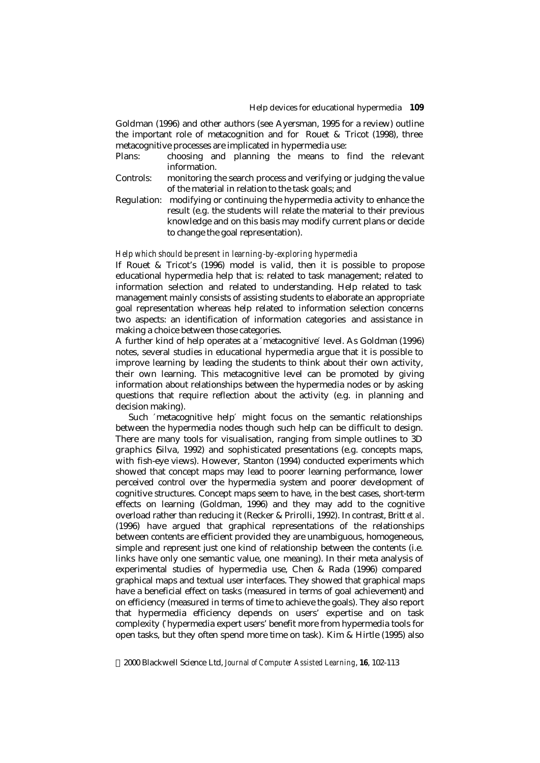Goldman (1996) and other authors (see Ayersman, 1995 for a review) outline the important role of metacognition and for Rouet & Tricot (1998), three metacognitive processes are implicated in hypermedia use:

- Plans: choosing and planning the means to find the relevant information.
- Controls: monitoring the search process and verifying or judging the value of the material in relation to the task goals; and
- Regulation: modifying or continuing the hypermedia activity to enhance the result (e.g. the students will relate the material to their previous knowledge and on this basis may modify current plans or decide to change the goal representation).

## *Help which should be present in learning-by-exploring hypermedia*

If Rouet & Tricot's (1996) model is valid, then it is possible to propose educational hypermedia help that is: related to task management; related to information selection and related to understanding. Help related to task management mainly consists of assisting students to elaborate an appropriate goal representation whereas help related to information selection concerns two aspects: an identification of information categories and assistance in making a choice between those categories.

A further kind of help operates at a ′metacognitive′ level. As Goldman (1996) notes, several studies in educational hypermedia argue that it is possible to improve learning by leading the students to think about their own activity, their own learning. This metacognitive level can be promoted by giving information about relationships between the hypermedia nodes or by asking questions that require reflection about the activity (e.g. in planning and decision making).

Such ′metacognitive help′ might focus on the semantic relationships between the hypermedia nodes though such help can be difficult to design. There are many tools for visualisation, ranging from simple outlines to 3D graphics (Silva, 1992) and sophisticated presentations (e.g. concepts maps, with fish-eye views). However, Stanton (1994) conducted experiments which showed that concept maps may lead to poorer learning performance, lower perceived control over the hypermedia system and poorer development of cognitive structures. Concept maps seem to have, in the best cases, short-term effects on learning (Goldman, 1996) and they may add to the cognitive overload rather than reducing it (Recker & Prirolli, 1992). In contrast, Britt *et al*. (1996) have argued that graphical representations of the relationships between contents are efficient provided they are unambiguous, homogeneous, simple and represent just one kind of relationship between the contents (i.e. links have only one semantic value, one meaning). In their meta analysis of experimental studies of hypermedia use, Chen & Rada (1996) compared graphical maps and textual user interfaces. They showed that graphical maps have a beneficial effect on tasks (measured in terms of goal achievement) and on efficiency (measured in terms of time to achieve the goals). They also report that hypermedia efficiency depends on users' expertise and on task complexity (′hypermedia expert users' benefit more from hypermedia tools for open tasks, but they often spend more time on task). Kim & Hirtle (1995) also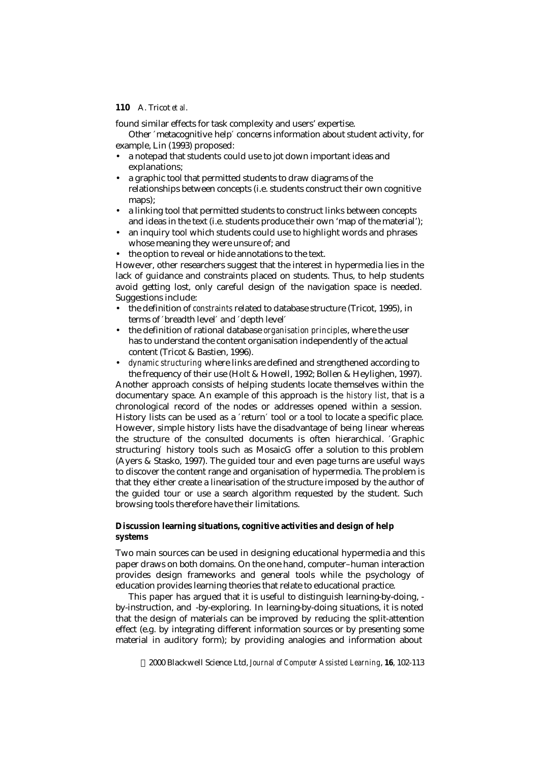found similar effects for task complexity and users' expertise.

Other ′metacognitive help′ concerns information about student activity, for example, Lin (1993) proposed:

- a notepad that students could use to jot down important ideas and explanations;
- a graphic tool that permitted students to draw diagrams of the relationships between concepts (i.e. students construct their own cognitive maps);
- a linking tool that permitted students to construct links between concepts and ideas in the text (i.e. students produce their own 'map of the material');
- an inquiry tool which students could use to highlight words and phrases whose meaning they were unsure of; and
- the option to reveal or hide annotations to the text.

However, other researchers suggest that the interest in hypermedia lies in the lack of guidance and constraints placed on students. Thus, to help students avoid getting lost, only careful design of the navigation space is needed. Suggestions include:

- the definition of *constraints* related to database structure (Tricot, 1995), in terms of ′breadth level′ and ′depth level′
- the definition of rational database *organisation principles*, where the user has to understand the content organisation independently of the actual content (Tricot & Bastien, 1996).
- *dynamic structuring* where links are defined and strengthened according to the frequency of their use (Holt & Howell, 1992; Bollen & Heylighen, 1997). Another approach consists of helping students locate themselves within the documentary space. An example of this approach is the *history list*, that is a chronological record of the nodes or addresses opened within a session. History lists can be used as a ′return′ tool or a tool to locate a specific place. However, simple history lists have the disadvantage of being linear whereas the structure of the consulted documents is often hierarchical. ′Graphic structuring′ history tools such as MosaicG offer a solution to this problem (Ayers & Stasko, 1997). The guided tour and even page turns are useful ways to discover the content range and organisation of hypermedia. The problem is that they either create a linearisation of the structure imposed by the author of the guided tour or use a search algorithm requested by the student. Such browsing tools therefore have their limitations.

# **Discussion learning situations, cognitive activities and design of help systems**

Two main sources can be used in designing educational hypermedia and this paper draws on both domains. On the one hand, computer–human interaction provides design frameworks and general tools while the psychology of education provides learning theories that relate to educational practice.

This paper has argued that it is useful to distinguish learning-by-doing, by-instruction, and -by-exploring. In learning-by-doing situations, it is noted that the design of materials can be improved by reducing the split-attention effect (e.g. by integrating different information sources or by presenting some material in auditory form); by providing analogies and information about

2000 Blackwell Science Ltd, *Journal of Computer Assisted Learning*, **16**, 102-113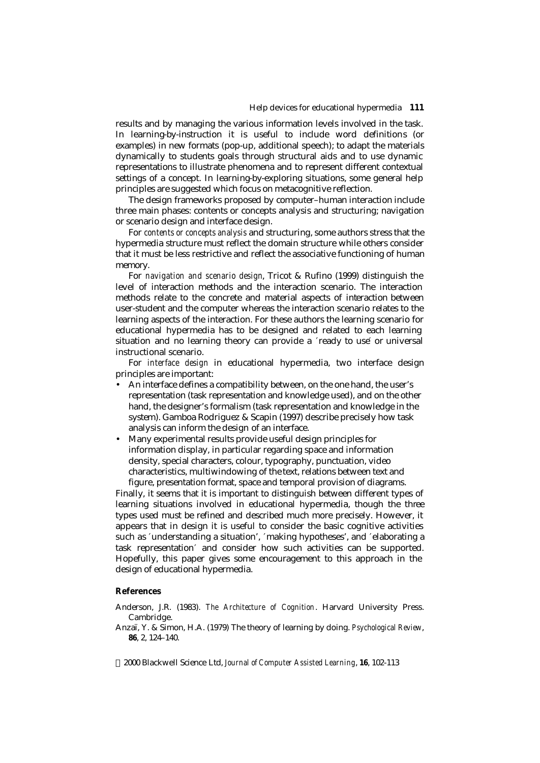results and by managing the various information levels involved in the task. In learning-by-instruction it is useful to include word definitions (or examples) in new formats (pop-up, additional speech); to adapt the materials dynamically to students goals through structural aids and to use dynamic representations to illustrate phenomena and to represent different contextual settings of a concept. In learning-by-exploring situations, some general help principles are suggested which focus on metacognitive reflection.

The design frameworks proposed by computer–human interaction include three main phases: contents or concepts analysis and structuring; navigation or scenario design and interface design.

For *contents or concepts analysis* and structuring, some authors stress that the hypermedia structure must reflect the domain structure while others consider that it must be less restrictive and reflect the associative functioning of human memory.

For *navigation and scenario design*, Tricot & Rufino (1999) distinguish the level of interaction methods and the interaction scenario. The interaction methods relate to the concrete and material aspects of interaction between user-student and the computer whereas the interaction scenario relates to the learning aspects of the interaction. For these authors the learning scenario for educational hypermedia has to be designed and related to each learning situation and no learning theory can provide a ′ready to use′ or universal instructional scenario.

For *interface design* in educational hypermedia, two interface design principles are important:

- An interface defines a compatibility between, on the one hand, the user's representation (task representation and knowledge used), and on the other hand, the designer's formalism (task representation and knowledge in the system). Gamboa Rodriguez & Scapin (1997) describe precisely how task analysis can inform the design of an interface.
- Many experimental results provide useful design principles for information display, in particular regarding space and information density, special characters, colour, typography, punctuation, video characteristics, multiwindowing of the text, relations between text and figure, presentation format, space and temporal provision of diagrams.

Finally, it seems that it is important to distinguish between different types of learning situations involved in educational hypermedia, though the three types used must be refined and described much more precisely. However, it appears that in design it is useful to consider the basic cognitive activities such as ′understanding a situation', ′making hypotheses', and ′elaborating a task representation′ and consider how such activities can be supported. Hopefully, this paper gives some encouragement to this approach in the design of educational hypermedia.

## **References**

Anderson, J.R. (1983). *The Architecture of Cognition*. Harvard University Press. Cambridge.

Anzaï, Y. & Simon, H.A. (1979) The theory of learning by doing. *Psychological Review*, **86**, 2, 124–140.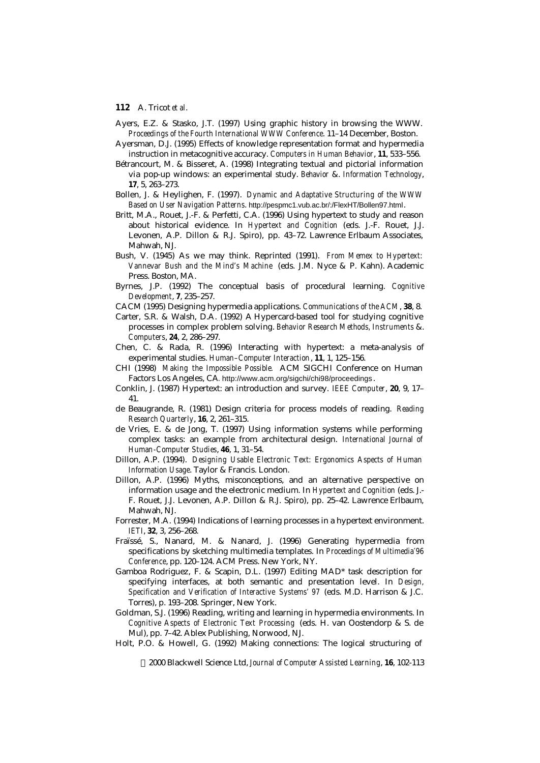- Ayers, E.Z. & Stasko, J.T. (1997) Using graphic history in browsing the WWW. *Proceedings of the Fourth International WWW Conference*. 11–14 December, Boston.
- Ayersman, D.J. (1995) Effects of knowledge representation format and hypermedia instruction in metacognitive accuracy. *Computers in Human Behavior*, **11**, 533–556.
- Bétrancourt, M. & Bisseret, A. (1998) Integrating textual and pictorial information via pop-up windows: an experimental study. *Behavior* &. *Information Technology*, **17**, 5, 263–273.
- Bollen, J. & Heylighen, F. (1997). *Dynamic and Adaptative Structuring of the WWW Based on User Navigation Patterns*. http://pespmc1.vub.ac.br/:/FlexHT/Bollen97.html.
- Britt, M.A., Rouet, J.-F. & Perfetti, C.A. (1996) Using hypertext to study and reason about historical evidence. In *Hypertext and Cognition* (eds. J.-F. Rouet, J.J. Levonen, A.P. Dillon & R.J. Spiro), pp. 43–72. Lawrence Erlbaum Associates, Mahwah, NJ.
- Bush, V. (1945) As we may think. Reprinted (1991). *From Memex to Hypertext: Vannevar Bush and the Mind's Machine* (eds. J.M. Nyce & P. Kahn). Academic Press. Boston, MA.
- Byrnes, J.P. (1992) The conceptual basis of procedural learning. *Cognitive Development*, **7**, 235–257.
- CACM (1995) Designing hypermedia applications. *Communications of the ACM*, **38**, 8.
- Carter, S.R. & Walsh, D.A. (1992) A Hypercard-based tool for studying cognitive processes in complex problem solving. *Behavior Research Methods, Instruments* &. *Computers*, **24**, 2, 286–297.
- Chen, C. & Rada, R. (1996) Interacting with hypertext: a meta-analysis of experimental studies. *Human–Computer Interaction*, **11**, 1, 125–156.
- CHI (1998) *Making the Impossible Possible.* ACM SIGCHI Conference on Human Factors Los Angeles, CA*.* http://www.acm.org/sigchi/chi98/proceedings.
- Conklin, J. (1987) Hypertext: an introduction and survey. *IEEE Computer*, **20**, 9, 17– 41.
- de Beaugrande, R. (1981) Design criteria for process models of reading. *Reading Research Quarterly*, **16**, 2, 261–315.
- de Vries, E. & de Jong, T. (1997) Using information systems while performing complex tasks: an example from architectural design. *International Journal of Human-Computer Studies*, **46**, 1, 31–54.
- Dillon, A.P. (1994). *Designing Usable Electronic Text: Ergonomics Aspects of Human Information Usage*. Taylor & Francis. London.
- Dillon, A.P. (1996) Myths, misconceptions, and an alternative perspective on information usage and the electronic medium. In *Hypertext and Cognition* (eds. J.- F. Rouet, J.J. Levonen, A.P. Dillon & R.J. Spiro), pp. 25–42. Lawrence Erlbaum, Mahwah, NJ.
- Forrester, M.A. (1994) Indications of learning processes in a hypertext environment. *IETI*, **32**, 3, 256–268.
- Fraïssé, S., Nanard, M. & Nanard, J. (1996) Generating hypermedia from specifications by sketching multimedia templates. In *Proceedings of Multimedia¢96 Conference*, pp. 120–124. ACM Press. New York, NY.
- Gamboa Rodriguez, F. & Scapin, D.L. (1997) Editing MAD\* task description for specifying interfaces, at both semantic and presentation level. In *Design, Specification and Verification of Interactive Systems' 97* (eds. M.D. Harrison & J.C. Torres), p. 193–208. Springer, New York.
- Goldman, S.J. (1996) Reading, writing and learning in hypermedia environments. In *Cognitive Aspects of Electronic Text Processing* (eds. H. van Oostendorp & S. de Mul), pp. 7–42. Ablex Publishing, Norwood, NJ.
- Holt, P.O. & Howell, G. (1992) Making connections: The logical structuring of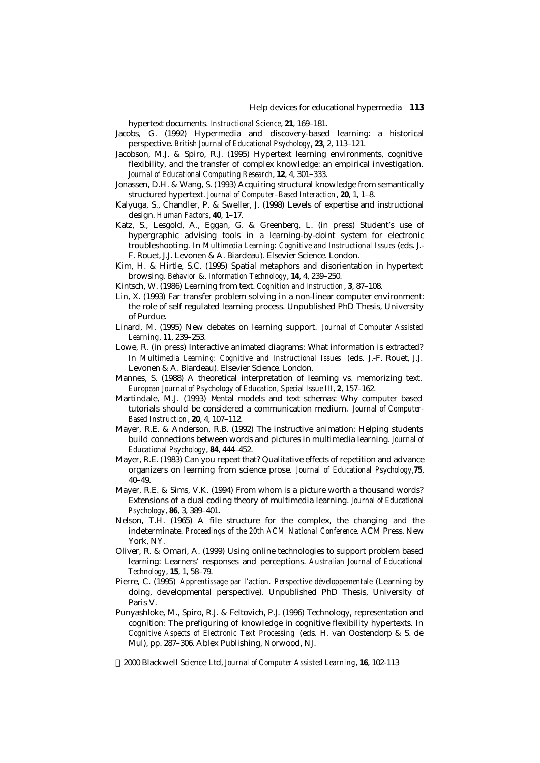hypertext documents. *Instructional Science*, **21**, 169–181.

- Jacobs, G. (1992) Hypermedia and discovery-based learning: a historical perspective. *British Journal of Educational Psychology*, **23**, 2, 113–121.
- Jacobson, M.J. & Spiro, R.J. (1995) Hypertext learning environments, cognitive flexibility, and the transfer of complex knowledge: an empirical investigation. *Journal of Educational Computing Research*, **12**, 4, 301–333.
- Jonassen, D.H. & Wang, S. (1993) Acquiring structural knowledge from semantically structured hypertext. *Journal of Computer–Based Interaction*, **20**, 1, 1–8.
- Kalyuga, S., Chandler, P. & Sweller, J. (1998) Levels of expertise and instructional design. *Human Factors*, **40**, 1–17.
- Katz, S., Lesgold, A., Eggan, G. & Greenberg, L. (in press) Student's use of hypergraphic advising tools in a learning-by-doint system for electronic troubleshooting. In *Multimedia Learning: Cognitive and Instructional Issues* (eds. J.- F. Rouet, J.J. Levonen & A. Biardeau). Elsevier Science. London.
- Kim, H. & Hirtle, S.C. (1995) Spatial metaphors and disorientation in hypertext browsing. *Behavior* &. *Information Technology*, **14**, 4, 239–250.
- Kintsch, W. (1986) Learning from text. *Cognition and Instruction*, **3**, 87–108.
- Lin, X. (1993) Far transfer problem solving in a non-linear computer environment: the role of self regulated learning process. Unpublished PhD Thesis, University of Purdue.
- Linard, M. (1995) New debates on learning support. *Journal of Computer Assisted Learning*, **11**, 239–253.
- Lowe, R. (in press) Interactive animated diagrams: What information is extracted? In *Multimedia Learning: Cognitive and Instructional Issues* (eds. J.-F. Rouet, J.J. Levonen & A. Biardeau). Elsevier Science. London.
- Mannes, S. (1988) A theoretical interpretation of learning vs. memorizing text. *European Journal of Psychology of Education, Special Issue III*, **2**, 157–162.
- Martindale, M.J. (1993) Mental models and text schemas: Why computer based tutorials should be considered a communication medium. *Journal of Computer-Based Instruction*, **20**, 4, 107–112.
- Mayer, R.E. & Anderson, R.B. (1992) The instructive animation: Helping students build connections between words and pictures in multimedia learning. *Journal of Educational Psychology*, **84**, 444–452.
- Mayer, R.E. (1983) Can you repeat that? Qualitative effects of repetition and advance organizers on learning from science prose. *Journal of Educational Psychology*,**75**, 40–49.
- Mayer, R.E. & Sims, V.K. (1994) From whom is a picture worth a thousand words? Extensions of a dual coding theory of multimedia learning. *Journal of Educational Psychology*, **86**, 3, 389–401.
- Nelson, T.H. (1965) A file structure for the complex, the changing and the indeterminate. *Proceedings of the 20th ACM National Conference*. ACM Press. New York, NY.
- Oliver, R. & Omari, A. (1999) Using online technologies to support problem based learning: Learners' responses and perceptions. *Australian Journal of Educational Technology*, **15**, 1, 58–79.
- Pierre, C. (1995) *Apprentissage par l'action. Perspective développementale* (Learning by doing, developmental perspective). Unpublished PhD Thesis, University of Paris V.
- Punyashloke, M., Spiro, R.J. & Feltovich, P.J. (1996) Technology, representation and cognition: The prefiguring of knowledge in cognitive flexibility hypertexts. In *Cognitive Aspects of Electronic Text Processing* (eds. H. van Oostendorp & S. de Mul), pp. 287–306. Ablex Publishing, Norwood, NJ.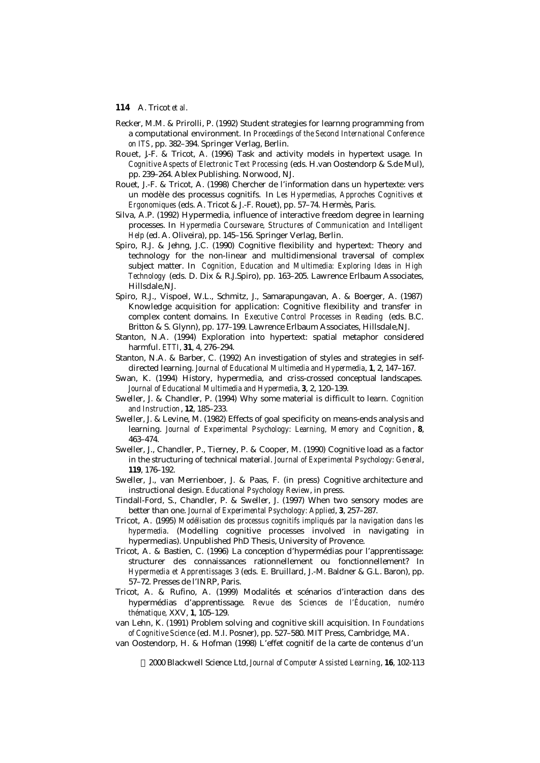- Recker, M.M. & Prirolli, P. (1992) Student strategies for learnng programming from a computational environment. In *Proceedings of the Second International Conference on ITS*, pp. 382–394. Springer Verlag, Berlin.
- Rouet, J.-F. & Tricot, A. (1996) Task and activity models in hypertext usage. In *Cognitive Aspects of Electronic Text Processing (eds. H.van Oostendorp & S.de Mul),* pp. 239–264. Ablex Publishing. Norwood, NJ.
- Rouet, J.-F. & Tricot, A. (1998) Chercher de l'information dans un hypertexte: vers un modèle des processus cognitifs. In *Les Hypermedias, Approches Cognitives et Ergonomiques* (eds. A. Tricot & J.-F. Rouet), pp. 57–74. Hermès, Paris.
- Silva, A.P. (1992) Hypermedia, influence of interactive freedom degree in learning processes. In *Hypermedia Courseware, Structures of Communication and Intelligent Help* (ed. A. Oliveira), pp. 145–156. Springer Verlag, Berlin.
- Spiro, R.J. & Jehng, J.C. (1990) Cognitive flexibility and hypertext: Theory and technology for the non-linear and multidimensional traversal of complex subject matter. In *Cognition, Education and Multimedia: Exploring Ideas in High Technology* (eds. D. Dix & R.J.Spiro), pp. 163–205. Lawrence Erlbaum Associates, Hillsdale,NJ.
- Spiro, R.J., Vispoel, W.L., Schmitz, J., Samarapungavan, A. & Boerger, A. (1987) Knowledge acquisition for application: Cognitive flexibility and transfer in complex content domains. In *Executive Control Processes in Reading* (eds. B.C. Britton & S. Glynn), pp. 177–199. Lawrence Erlbaum Associates, Hillsdale,NJ.
- Stanton, N.A. (1994) Exploration into hypertext: spatial metaphor considered harmful. *ETTI*, **31**, 4, 276–294.
- Stanton, N.A. & Barber, C. (1992) An investigation of styles and strategies in selfdirected learning. *Journal of Educational Multimedia and Hypermedia*, **1**, 2, 147–167.
- Swan, K. (1994) History, hypermedia, and criss-crossed conceptual landscapes. *Journal of Educational Multimedia and Hypermedia*, **3**, 2, 120–139.
- Sweller, J. & Chandler, P. (1994) Why some material is difficult to learn. *Cognition and Instruction*, **12**, 185–233.
- Sweller, J. & Levine, M. (1982) Effects of goal specificity on means-ends analysis and learning. *Journal of Experimental Psychology: Learning, Memory and Cognition*, **8**, 463–474.
- Sweller, J., Chandler, P., Tierney, P. & Cooper, M. (1990) Cognitive load as a factor in the structuring of technical material. *Journal of Experimental Psychology: General*, **119**, 176–192.
- Sweller, J., van Merrienboer, J. & Paas, F. (in press) Cognitive architecture and instructional design. *Educational Psychology Review*, in press.
- Tindall-Ford, S., Chandler, P. & Sweller, J. (1997) When two sensory modes are better than one. *Journal of Experimental Psychology: Applied*, **3**, 257–287.
- Tricot, A. (1995) *Modélisation des processus cognitifs impliqués par la navigation dans les hypermedia*. (Modelling cognitive processes involved in navigating in hypermedias). Unpublished PhD Thesis, University of Provence.
- Tricot, A. & Bastien, C. (1996) La conception d'hypermédias pour l'apprentissage: structurer des connaissances rationnellement ou fonctionnellement? In *Hypermedia et Apprentissages 3* (eds. E. Bruillard, J.-M. Baldner & G.L. Baron), pp. 57–72. Presses de l'INRP, Paris.
- Tricot, A. & Rufino, A. (1999) Modalités et scénarios d'interaction dans des hypermédias d'apprentissage. *Revue des Sciences de l'Éducation, numéro thématique,* XXV, **1**, 105–129.
- van Lehn, K. (1991) Problem solving and cognitive skill acquisition. In *Foundations of Cognitive Science* (ed. M.I. Posner), pp. 527–580. MIT Press, Cambridge, MA.
- van Oostendorp, H. & Hofman (1998) L'effet cognitif de la carte de contenus d'un